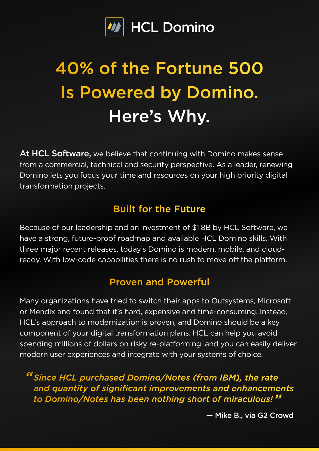

# 40% of the Fortune 500 Is Powered by Domino. Here's Why.

At HCL Software, we believe that continuing with Domino makes sense from a commercial, technical and security perspective. As a leader, renewing Domino lets you focus your time and resources on your high priority digital transformation projects.

# Built for the Future

Because of our leadership and an investment of \$1.8B by HCL Software, we have a strong, future-proof roadmap and available HCL Domino skills. With three major recent releases, today's Domino is modern, mobile, and cloudready. With low-code capabilities there is no rush to move off the platform.

## Proven and Powerful

Many organizations have tried to switch their apps to Outsystems, Microsoft or Mendix and found that it's hard, expensive and time-consuming. Instead, HCL's approach to modernization is proven, and Domino should be a key component of your digital transformation plans. HCL can help you avoid spending millions of dollars on risky re-platforming, and you can easily deliver modern user experiences and integrate with your systems of choice.

*Since HCL purchased Domino/Notes (from IBM), the rate " and quantity of significant improvements and enhancements to Domino/Notes has been nothing short of miraculous! "*

— Mike B., via G2 Crowd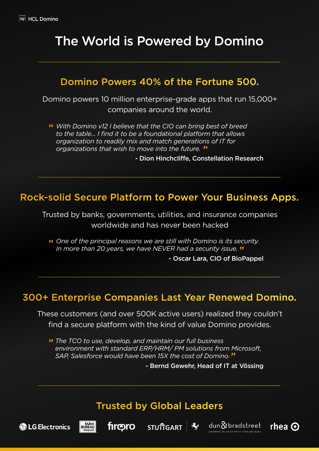# The World is Powered by Domino

#### Domino Powers 40% of the Fortune 500.

Domino powers 10 million enterprise-grade apps that run 15,000+ companies around the world.

*With Domino v12 I believe that the CIO can bring best of breed*  " *to the table... I find it to be a foundational platform that allows organization to readily mix and match generations of IT for organizations that wish to move into the future.* "

- Dion Hinchcliffe, Constellation Research

## Rock-solid Secure Platform to Power Your Business Apps.

Trusted by banks, governments, utilities, and insurance companies worldwide and has never been hacked

*One of the principal reasons we are still with Domino is its security.*  " *In more than 20 years, we have NEVER had a security issue.* "

- Oscar Lara, CIO of BioPappel

#### 300+ Enterprise Companies Last Year Renewed Domino.

These customers (and over 500K active users) realized they couldn't find a secure platform with the kind of value Domino provides.

*The TCO to use, develop, and maintain our full business*  " *environment with standard ERP/HRM/ PM solutions from Microsoft, SAP, Salesforce would have been 15X the cost of Domino.*  "

- Bernd Gewehr, Head of IT at Vössing

rhea  $\odot$ 

#### Trusted by Global Leaders